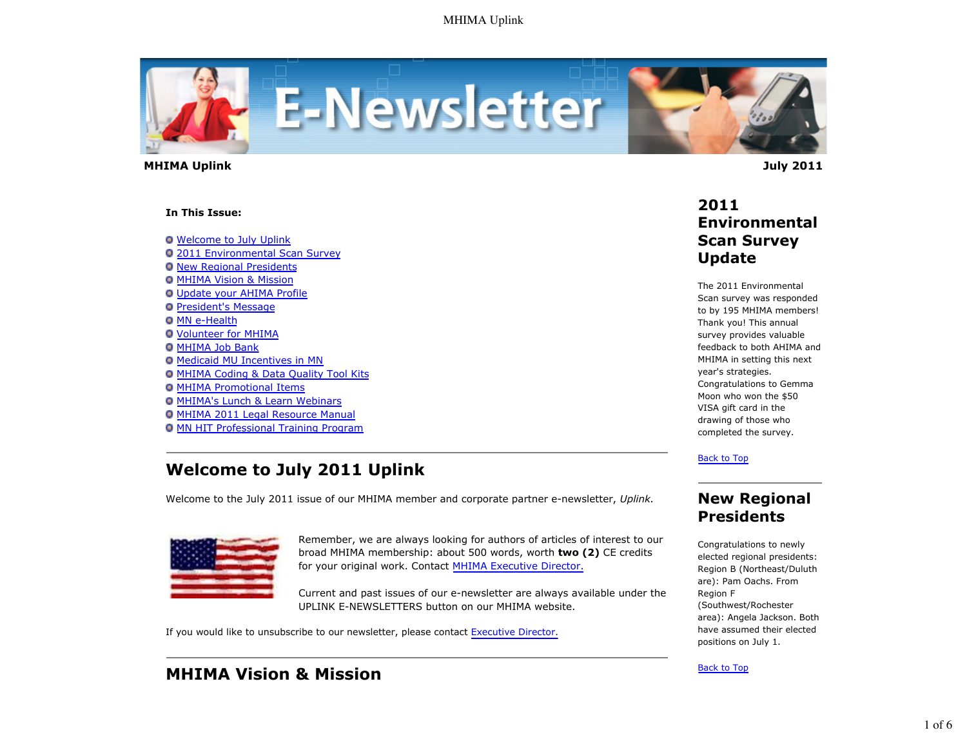

 **MHIMA Uplink July 2011** 

#### **In This Issue:**

Welcome to July Uplink

- 2011 Environmental Scan Survey
- **O New Regional Presidents**
- **O MHIMA Vision & Mission**
- Update your AHIMA Profile
- **President's Message**
- **O MN e-Health**
- Volunteer for MHIMA
- **O MHIMA Job Bank**
- Medicaid MU Incentives in MN
- **O MHIMA Coding & Data Quality Tool Kits**
- **O MHIMA Promotional Items**
- MHIMA's Lunch & Learn Webinars
- MHIMA 2011 Legal Resource Manual
- MN HIT Professional Training Program

# **Welcome to July 2011 Uplink**

Welcome to the July 2011 issue of our MHIMA member and corporate partner e-newsletter, *Uplink.*



Remember, we are always looking for authors of articles of interest to our broad MHIMA membership: about 500 words, worth **two (2)** CE credits for your original work. Contact MHIMA Executive Director.

Current and past issues of our e-newsletter are always available under the UPLINK E-NEWSLETTERS button on our MHIMA website.

If you would like to unsubscribe to our newsletter, please contact Executive Director.

# **MHIMA Vision & Mission**

# **2011 Environmental Scan Survey Update**

The 2011 Environmental Scan survey was responded to by 195 MHIMA members! Thank you! This annual survey provides valuable feedback to both AHIMA and MHIMA in setting this next year's strategies. Congratulations to Gemma Moon who won the \$50 VISA gift card in the drawing of those who completed the survey.

Back to Top

## **New Regional Presidents**

Congratulations to newly elected regional presidents: Region B (Northeast/Duluth are): Pam Oachs. From Region F (Southwest/Rochester area): Angela Jackson. Both have assumed their elected positions on July 1.

### Back to Top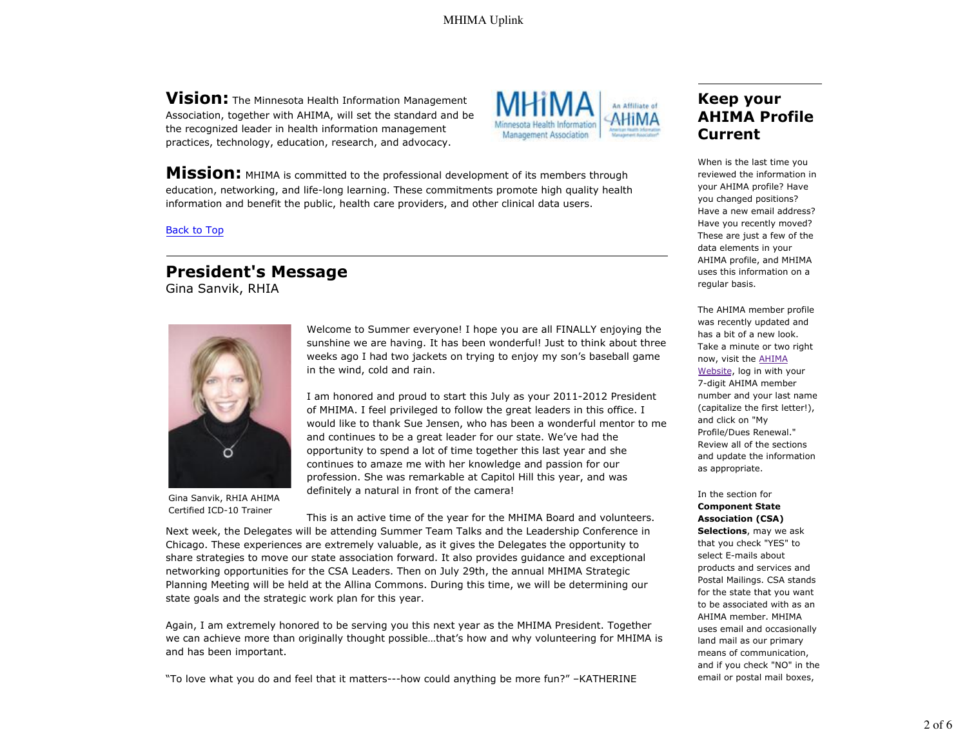**Vision:** The Minnesota Health Information Management Association, together with AHIMA, will set the standard and be the recognized leader in health information management practices, technology, education, research, and advocacy.



**Mission:** MHIMA is committed to the professional development of its members through education, networking, and life-long learning. These commitments promote high quality health information and benefit the public, health care providers, and other clinical data users.

### Back to Top

# **President's Message**

Gina Sanvik, RHIA



Gina Sanvik, RHIA AHIMA Certified ICD-10 Trainer

Welcome to Summer everyone! I hope you are all FINALLY enjoying the sunshine we are having. It has been wonderful! Just to think about three weeks ago I had two jackets on trying to enjoy my son's baseball game in the wind, cold and rain.

I am honored and proud to start this July as your 2011-2012 President of MHIMA. I feel privileged to follow the great leaders in this office. I would like to thank Sue Jensen, who has been a wonderful mentor to me and continues to be a great leader for our state. We've had the opportunity to spend a lot of time together this last year and she continues to amaze me with her knowledge and passion for our profession. She was remarkable at Capitol Hill this year, and was definitely a natural in front of the camera!

This is an active time of the year for the MHIMA Board and volunteers. Next week, the Delegates will be attending Summer Team Talks and the Leadership Conference in Chicago. These experiences are extremely valuable, as it gives the Delegates the opportunity to share strategies to move our state association forward. It also provides guidance and exceptional networking opportunities for the CSA Leaders. Then on July 29th, the annual MHIMA Strategic Planning Meeting will be held at the Allina Commons. During this time, we will be determining our state goals and the strategic work plan for this year.

Again, I am extremely honored to be serving you this next year as the MHIMA President. Together we can achieve more than originally thought possible…that's how and why volunteering for MHIMA is and has been important.

"To love what you do and feel that it matters---how could anything be more fun?" –KATHERINE

# **Keep your AHIMA Profile Current**

When is the last time you reviewed the information in your AHIMA profile? Have you changed positions? Have a new email address? Have you recently moved? These are just a few of the data elements in your AHIMA profile, and MHIMA uses this information on a regular basis.

The AHIMA member profile was recently updated and has a bit of a new look. Take a minute or two right now, visit the AHIMA Website, log in with your 7-digit AHIMA member number and your last name (capitalize the first letter!), and click on "My Profile/Dues Renewal." Review all of the sections and update the information as appropriate.

In the section for **Component State Association (CSA) Selections**, may we ask that you check "YES" to select E-mails about products and services and Postal Mailings. CSA stands for the state that you want to be associated with as an AHIMA member. MHIMA uses email and occasionally land mail as our primary means of communication, and if you check "NO" in the email or postal mail boxes,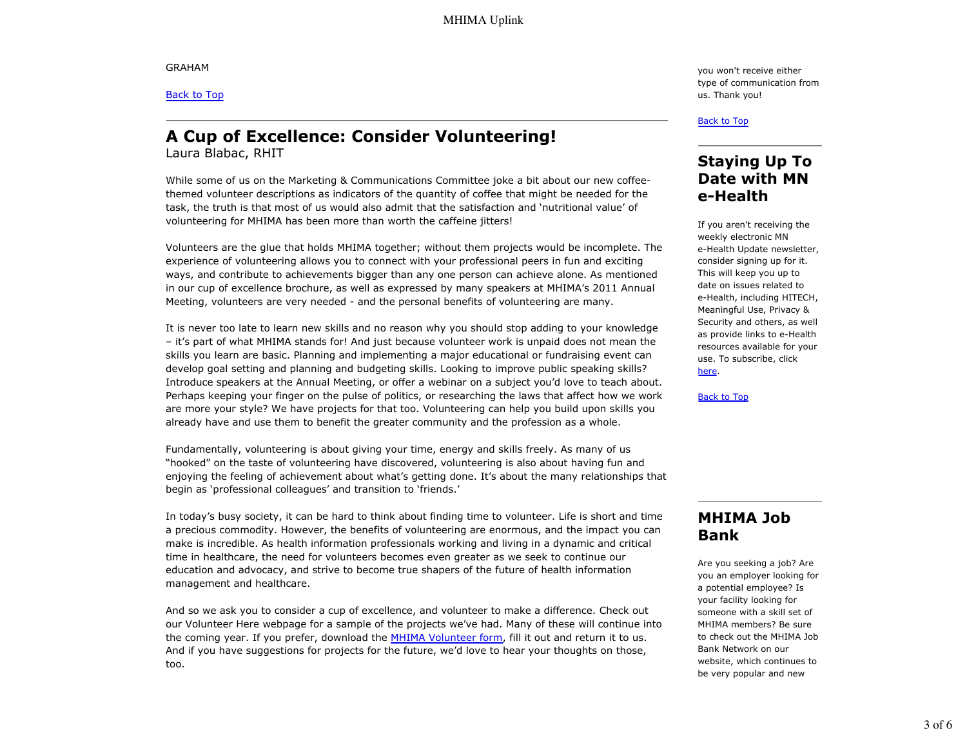GRAHAM

Back to Top

# **A Cup of Excellence: Consider Volunteering!**

Laura Blabac, RHIT

While some of us on the Marketing & Communications Committee joke a bit about our new coffeethemed volunteer descriptions as indicators of the quantity of coffee that might be needed for the task, the truth is that most of us would also admit that the satisfaction and 'nutritional value' of volunteering for MHIMA has been more than worth the caffeine jitters!

Volunteers are the glue that holds MHIMA together; without them projects would be incomplete. The experience of volunteering allows you to connect with your professional peers in fun and exciting ways, and contribute to achievements bigger than any one person can achieve alone. As mentioned in our cup of excellence brochure, as well as expressed by many speakers at MHIMA's 2011 Annual Meeting, volunteers are very needed - and the personal benefits of volunteering are many.

It is never too late to learn new skills and no reason why you should stop adding to your knowledge – it's part of what MHIMA stands for! And just because volunteer work is unpaid does not mean the skills you learn are basic. Planning and implementing a major educational or fundraising event can develop goal setting and planning and budgeting skills. Looking to improve public speaking skills? Introduce speakers at the Annual Meeting, or offer a webinar on a subject you'd love to teach about. Perhaps keeping your finger on the pulse of politics, or researching the laws that affect how we work are more your style? We have projects for that too. Volunteering can help you build upon skills you already have and use them to benefit the greater community and the profession as a whole.

Fundamentally, volunteering is about giving your time, energy and skills freely. As many of us "hooked" on the taste of volunteering have discovered, volunteering is also about having fun and enjoying the feeling of achievement about what's getting done. It's about the many relationships that begin as 'professional colleagues' and transition to 'friends.'

In today's busy society, it can be hard to think about finding time to volunteer. Life is short and time a precious commodity. However, the benefits of volunteering are enormous, and the impact you can make is incredible. As health information professionals working and living in a dynamic and critical time in healthcare, the need for volunteers becomes even greater as we seek to continue our education and advocacy, and strive to become true shapers of the future of health information management and healthcare.

And so we ask you to consider a cup of excellence, and volunteer to make a difference. Check out our Volunteer Here webpage for a sample of the projects we've had. Many of these will continue into the coming year. If you prefer, download the MHIMA Volunteer form, fill it out and return it to us. And if you have suggestions for projects for the future, we'd love to hear your thoughts on those, too.

you won't receive either type of communication from us. Thank you!

#### Back to Top

## **Staying Up To Date with MN e-Health**

If you aren't receiving the weekly electronic MN e-Health Update newsletter, consider signing up for it. This will keep you up to date on issues related to e-Health, including HITECH, Meaningful Use, Privacy & Security and others, as well as provide links to e-Health resources available for your use. To subscribe, click here.

Back to Top

# **MHIMA Job Bank**

Are you seeking a job? Are you an employer looking for a potential employee? Is your facility looking for someone with a skill set of MHIMA members? Be sure to check out the MHIMA Job Bank Network on our website, which continues to be very popular and new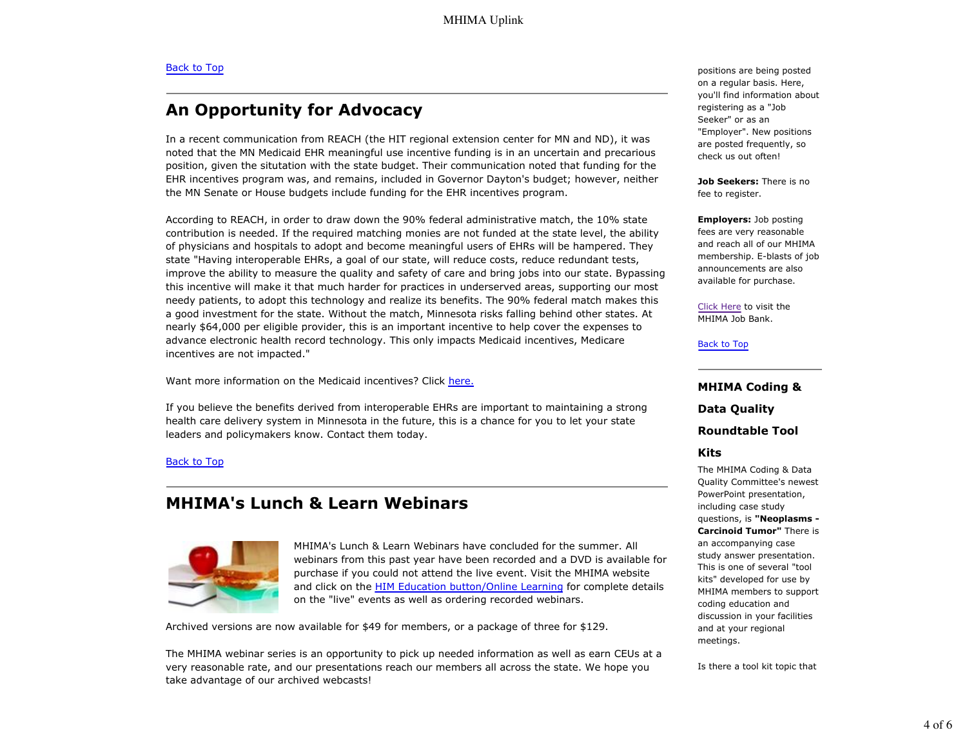# **An Opportunity for Advocacy**

In a recent communication from REACH (the HIT regional extension center for MN and ND), it was noted that the MN Medicaid EHR meaningful use incentive funding is in an uncertain and precarious position, given the situtation with the state budget. Their communication noted that funding for the EHR incentives program was, and remains, included in Governor Dayton's budget; however, neither the MN Senate or House budgets include funding for the EHR incentives program.

According to REACH, in order to draw down the 90% federal administrative match, the 10% state contribution is needed. If the required matching monies are not funded at the state level, the ability of physicians and hospitals to adopt and become meaningful users of EHRs will be hampered. They state "Having interoperable EHRs, a goal of our state, will reduce costs, reduce redundant tests, improve the ability to measure the quality and safety of care and bring jobs into our state. Bypassing this incentive will make it that much harder for practices in underserved areas, supporting our most needy patients, to adopt this technology and realize its benefits. The 90% federal match makes this a good investment for the state. Without the match, Minnesota risks falling behind other states. At nearly \$64,000 per eligible provider, this is an important incentive to help cover the expenses to advance electronic health record technology. This only impacts Medicaid incentives, Medicare incentives are not impacted."

Want more information on the Medicaid incentives? Click here.

If you believe the benefits derived from interoperable EHRs are important to maintaining a strong health care delivery system in Minnesota in the future, this is a chance for you to let your state leaders and policymakers know. Contact them today.

### Back to Top

## **MHIMA's Lunch & Learn Webinars**



MHIMA's Lunch & Learn Webinars have concluded for the summer. All webinars from this past year have been recorded and a DVD is available for purchase if you could not attend the live event. Visit the MHIMA website and click on the HIM Education button/Online Learning for complete details on the "live" events as well as ordering recorded webinars.

Archived versions are now available for \$49 for members, or a package of three for \$129.

The MHIMA webinar series is an opportunity to pick up needed information as well as earn CEUs at a very reasonable rate, and our presentations reach our members all across the state. We hope you take advantage of our archived webcasts!

positions are being posted on a regular basis. Here, you'll find information about registering as a "Job Seeker" or as an "Employer". New positions are posted frequently, so check us out often!

**Job Seekers:** There is no fee to register.

**Employers:** Job posting fees are very reasonable and reach all of our MHIMA membership. E-blasts of job announcements are also available for purchase.

Click Here to visit the MHIMA Job Bank.

#### Back to Top

**MHIMA Coding & Data Quality Roundtable Tool**

### **Kits**

The MHIMA Coding & Data Quality Committee's newest PowerPoint presentation, including case study questions, is **"Neoplasms - Carcinoid Tumor"** There is an accompanying case study answer presentation. This is one of several "tool kits" developed for use by MHIMA members to support coding education and discussion in your facilities and at your regional meetings.

Is there a tool kit topic that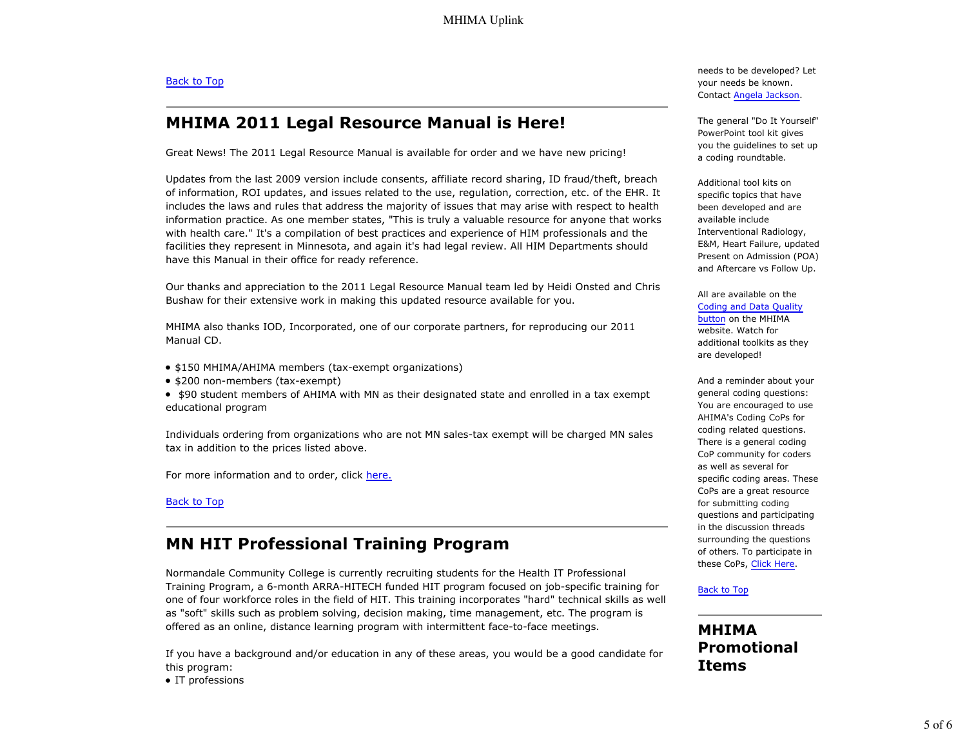### Back to Top

# **MHIMA 2011 Legal Resource Manual is Here!**

Great News! The 2011 Legal Resource Manual is available for order and we have new pricing!

Updates from the last 2009 version include consents, affiliate record sharing, ID fraud/theft, breach of information, ROI updates, and issues related to the use, regulation, correction, etc. of the EHR. It includes the laws and rules that address the majority of issues that may arise with respect to health information practice. As one member states, "This is truly a valuable resource for anyone that works with health care." It's a compilation of best practices and experience of HIM professionals and the facilities they represent in Minnesota, and again it's had legal review. All HIM Departments should have this Manual in their office for ready reference.

Our thanks and appreciation to the 2011 Legal Resource Manual team led by Heidi Onsted and Chris Bushaw for their extensive work in making this updated resource available for you.

MHIMA also thanks IOD, Incorporated, one of our corporate partners, for reproducing our 2011 Manual CD.

- \$150 MHIMA/AHIMA members (tax-exempt organizations)
- \$200 non-members (tax-exempt)

• \$90 student members of AHIMA with MN as their designated state and enrolled in a tax exempt educational program

Individuals ordering from organizations who are not MN sales-tax exempt will be charged MN sales tax in addition to the prices listed above.

For more information and to order, click here.

Back to Top

# **MN HIT Professional Training Program**

Normandale Community College is currently recruiting students for the Health IT Professional Training Program, a 6-month ARRA-HITECH funded HIT program focused on job-specific training for one of four workforce roles in the field of HIT. This training incorporates "hard" technical skills as well as "soft" skills such as problem solving, decision making, time management, etc. The program is offered as an online, distance learning program with intermittent face-to-face meetings.

If you have a background and/or education in any of these areas, you would be a good candidate for this program:

• IT professions

needs to be developed? Let your needs be known. Contact Angela Jackson.

The general "Do It Yourself" PowerPoint tool kit gives you the guidelines to set up a coding roundtable.

Additional tool kits on specific topics that have been developed and are available include Interventional Radiology, E&M, Heart Failure, updated Present on Admission (POA) and Aftercare vs Follow Up.

All are available on the Coding and Data Quality

button on the MHIMA website. Watch for additional toolkits as they are developed!

And a reminder about your general coding questions: You are encouraged to use AHIMA's Coding CoPs for coding related questions. There is a general coding CoP community for coders as well as several for specific coding areas. These CoPs are a great resource for submitting coding questions and participating in the discussion threads surrounding the questions of others. To participate in these CoPs, Click Here.

### Back to Top

### **MHIMA Promotional Items**